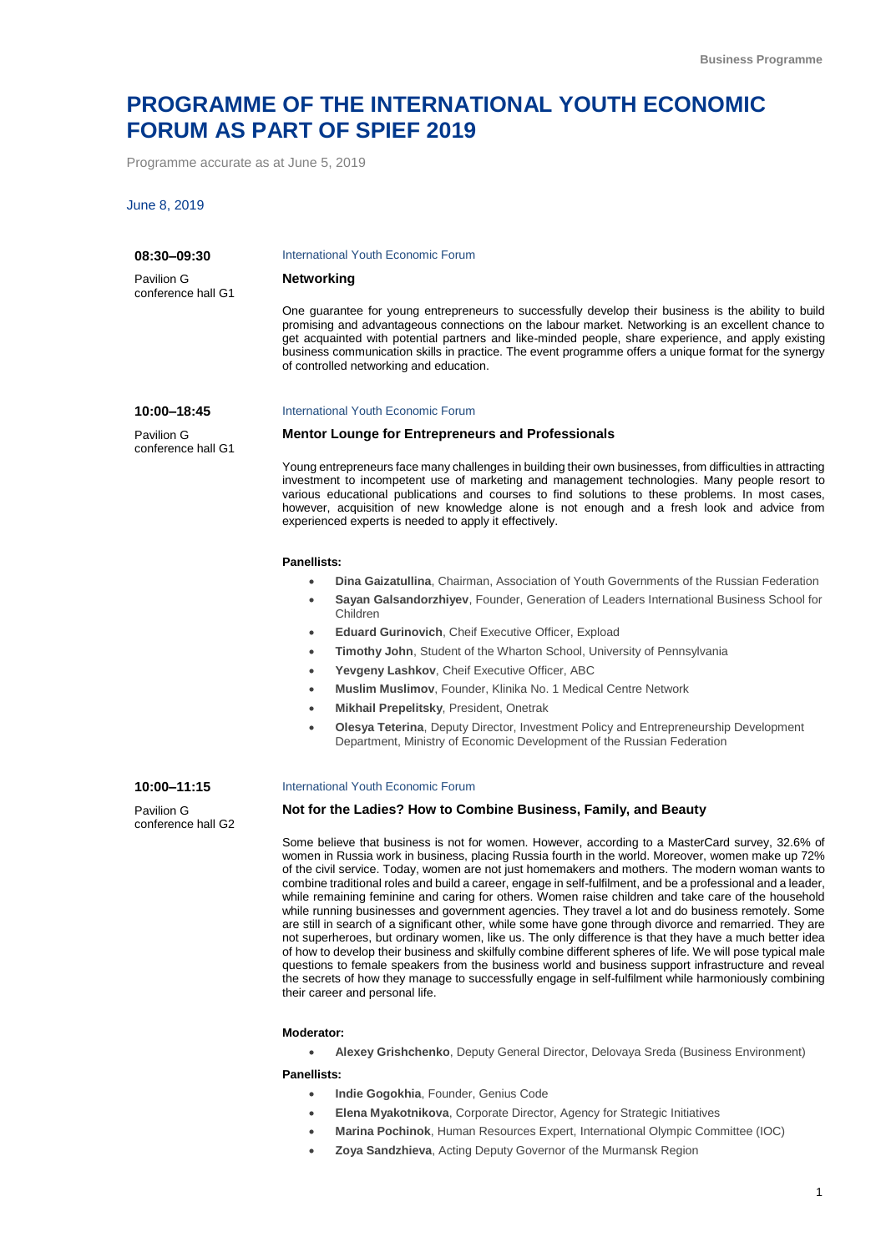# **PROGRAMME OF THE INTERNATIONAL YOUTH ECONOMIC FORUM AS PART OF SPIEF 2019**

Programme accurate as at June 5, 2019

## June 8, 2019

conference hall G1

#### **08:30–09:30** Pavilion G conference hall G1 International Youth Economic Forum **Networking** One guarantee for young entrepreneurs to successfully develop their business is the ability to build promising and advantageous connections on the labour market. Networking is an excellent chance to get acquainted with potential partners and like-minded people, share experience, and apply existing business communication skills in practice. The event programme offers a unique format for the synergy of controlled networking and education. **10:00–18:45** Pavilion G International Youth Economic Forum **Mentor Lounge for Entrepreneurs and Professionals**

Young entrepreneurs face many challenges in building their own businesses, from difficulties in attracting investment to incompetent use of marketing and management technologies. Many people resort to various educational publications and courses to find solutions to these problems. In most cases, however, acquisition of new knowledge alone is not enough and a fresh look and advice from experienced experts is needed to apply it effectively.

## **Panellists:**

- **Dina Gaizatullina**, Chairman, Association of Youth Governments of the Russian Federation
- **Sayan Galsandorzhiyev**, Founder, Generation of Leaders International Business School for Children
- **Eduard Gurinovich**, Cheif Executive Officer, Expload
	- **Timothy John**, Student of the Wharton School, University of Pennsylvania
- **Yevgeny Lashkov**, Cheif Executive Officer, ABC
- **Muslim Muslimov**, Founder, Klinika No. 1 Medical Centre Network
- **Mikhail Prepelitsky**, President, Onetrak
- **Olesya Teterina**, Deputy Director, Investment Policy and Entrepreneurship Development Department, Ministry of Economic Development of the Russian Federation

#### **10:00–11:15**

Pavilion G conference hall G2

#### International Youth Economic Forum

## **Not for the Ladies? How to Combine Business, Family, and Beauty**

Some believe that business is not for women. However, according to a MasterCard survey, 32.6% of women in Russia work in business, placing Russia fourth in the world. Moreover, women make up 72% of the civil service. Today, women are not just homemakers and mothers. The modern woman wants to combine traditional roles and build a career, engage in self-fulfilment, and be a professional and a leader, while remaining feminine and caring for others. Women raise children and take care of the household while running businesses and government agencies. They travel a lot and do business remotely. Some are still in search of a significant other, while some have gone through divorce and remarried. They are not superheroes, but ordinary women, like us. The only difference is that they have a much better idea of how to develop their business and skilfully combine different spheres of life. We will pose typical male questions to female speakers from the business world and business support infrastructure and reveal the secrets of how they manage to successfully engage in self-fulfilment while harmoniously combining their career and personal life.

#### **Moderator:**

**Alexey Grishchenko**, Deputy General Director, Delovaya Sreda (Business Environment)

- **Indie Gogokhia**, Founder, Genius Code
- **Elena Myakotnikova**, Corporate Director, Agency for Strategic Initiatives
- **Marina Pochinok**, Human Resources Expert, International Olympic Committee (IOC)
- **Zoya Sandzhieva**, Acting Deputy Governor of the Murmansk Region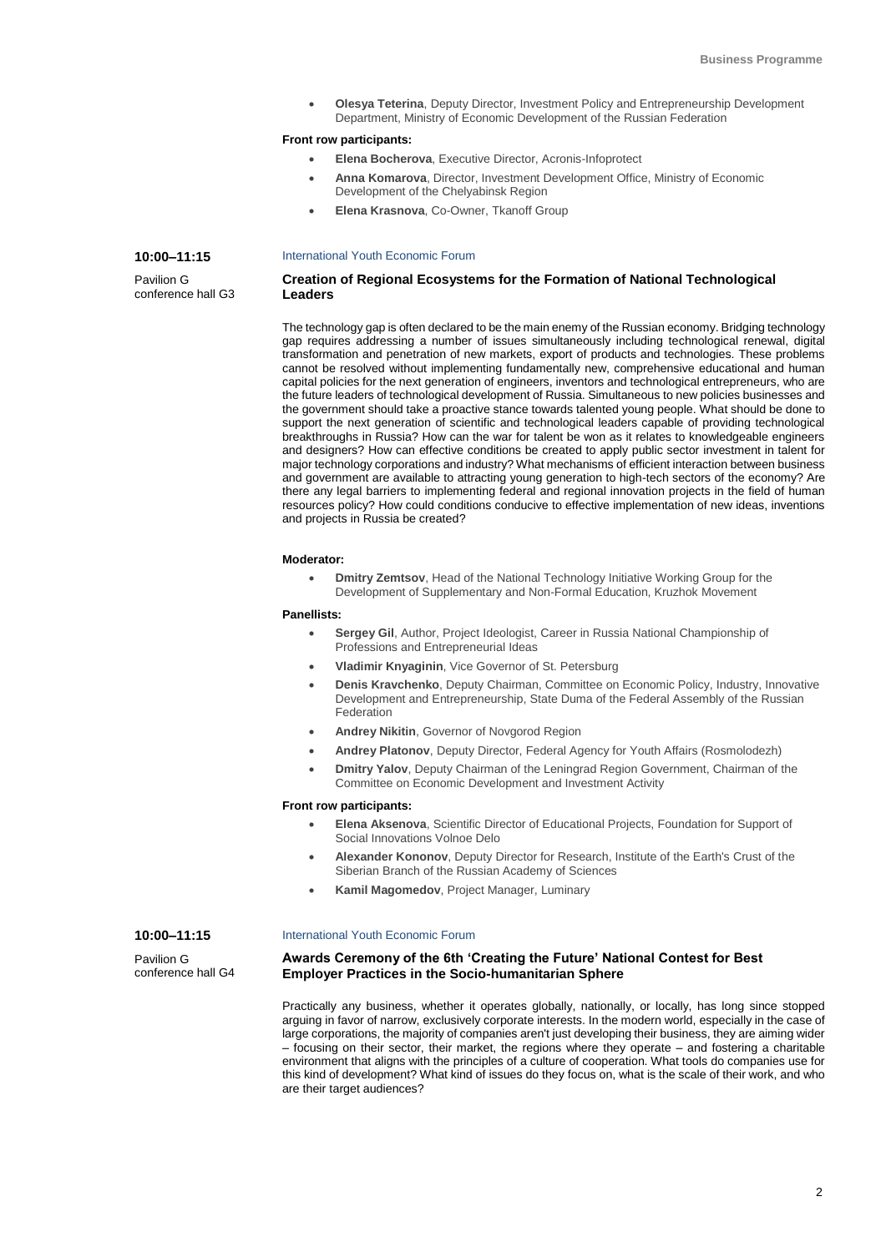**Olesya Teterina**, Deputy Director, Investment Policy and Entrepreneurship Development Department, Ministry of Economic Development of the Russian Federation

## **Front row participants:**

- **Elena Bocherova**, Executive Director, Acronis-Infoprotect
- **Anna Komarova**, Director, Investment Development Office, Ministry of Economic Development of the Chelyabinsk Region
- **Elena Krasnova**, Co-Owner, Tkanoff Group

#### **10:00–11:15** International Youth Economic Forum

Pavilion G conference hall G3

## **Creation of Regional Ecosystems for the Formation of National Technological Leaders**

The technology gap is often declared to be the main enemy of the Russian economy. Bridging technology gap requires addressing a number of issues simultaneously including technological renewal, digital transformation and penetration of new markets, export of products and technologies. These problems cannot be resolved without implementing fundamentally new, comprehensive educational and human capital policies for the next generation of engineers, inventors and technological entrepreneurs, who are the future leaders of technological development of Russia. Simultaneous to new policies businesses and the government should take a proactive stance towards talented young people. What should be done to support the next generation of scientific and technological leaders capable of providing technological breakthroughs in Russia? How can the war for talent be won as it relates to knowledgeable engineers and designers? How can effective conditions be created to apply public sector investment in talent for major technology corporations and industry? What mechanisms of efficient interaction between business and government are available to attracting young generation to high-tech sectors of the economy? Are there any legal barriers to implementing federal and regional innovation projects in the field of human resources policy? How could conditions conducive to effective implementation of new ideas, inventions and projects in Russia be created?

#### **Moderator:**

 **Dmitry Zemtsov**, Head of the National Technology Initiative Working Group for the Development of Supplementary and Non-Formal Education, Kruzhok Movement

## **Panellists:**

- **Sergey Gil**, Author, Project Ideologist, Career in Russia National Championship of Professions and Entrepreneurial Ideas
- **Vladimir Knyaginin**, Vice Governor of St. Petersburg
- **Denis Kravchenko**, Deputy Chairman, Committee on Economic Policy, Industry, Innovative Development and Entrepreneurship, State Duma of the Federal Assembly of the Russian Federation
- **Andrey Nikitin**, Governor of Novgorod Region
- **Andrey Platonov**, Deputy Director, Federal Agency for Youth Affairs (Rosmolodezh)
- **Dmitry Yalov**, Deputy Chairman of the Leningrad Region Government, Chairman of the Committee on Economic Development and Investment Activity

## **Front row participants:**

- **Elena Aksenova**, Scientific Director of Educational Projects, Foundation for Support of Social Innovations Volnoe Delo
- **Alexander Kononov**, Deputy Director for Research, Institute of the Earth's Crust of the Siberian Branch of the Russian Academy of Sciences
- **Kamil Magomedov**, Project Manager, Luminary

## **10:00–11:15**

Pavilion G conference hall G4

## International Youth Economic Forum

## **Awards Ceremony of the 6th 'Creating the Future' National Contest for Best Employer Practices in the Socio-humanitarian Sphere**

Practically any business, whether it operates globally, nationally, or locally, has long since stopped arguing in favor of narrow, exclusively corporate interests. In the modern world, especially in the case of large corporations, the majority of companies aren't just developing their business, they are aiming wider – focusing on their sector, their market, the regions where they operate – and fostering a charitable environment that aligns with the principles of a culture of cooperation. What tools do companies use for this kind of development? What kind of issues do they focus on, what is the scale of their work, and who are their target audiences?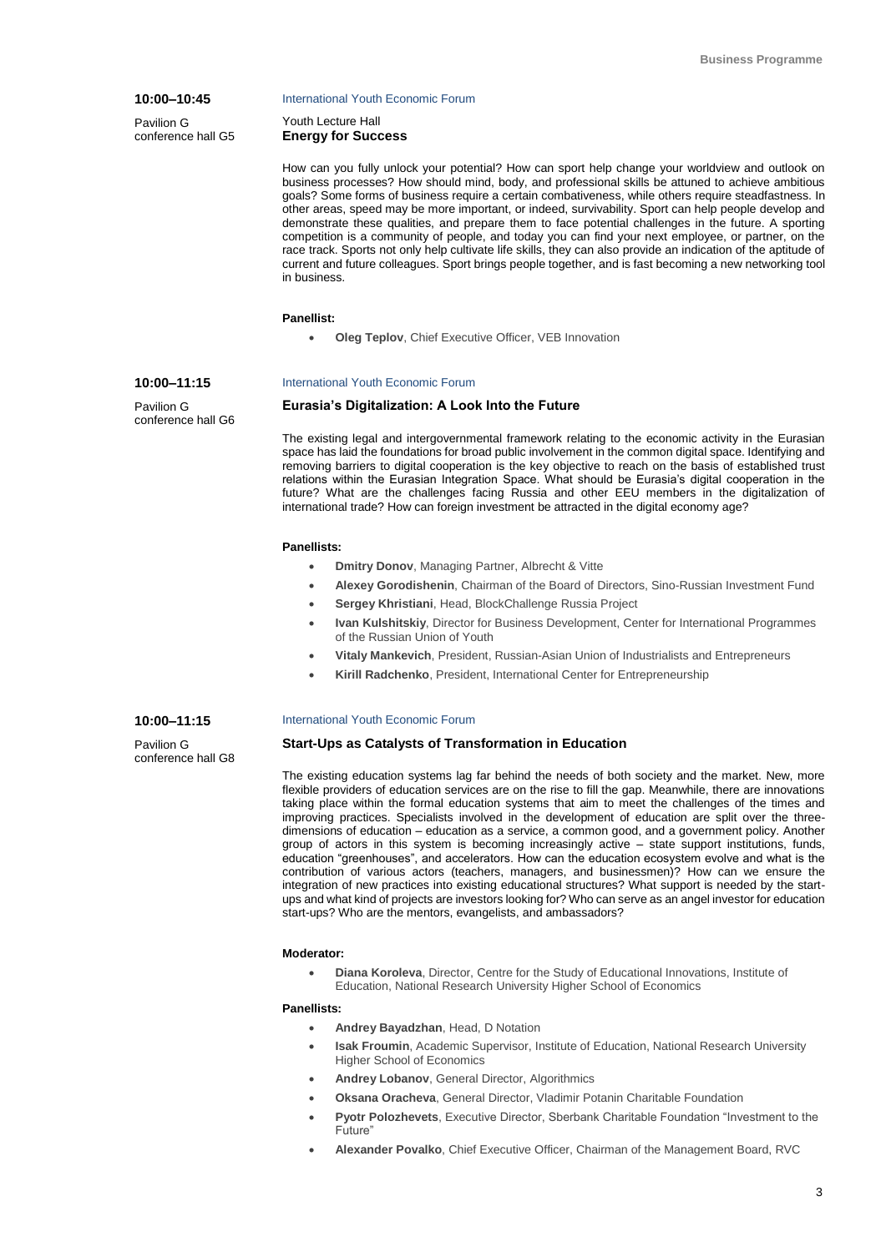## **10:00–10:45**

**10:00–11:15** Pavilion G conference hall G6

Pavilion G conference hall G5

#### International Youth Economic Forum

Youth Lecture Hall **Energy for Success**

How can you fully unlock your potential? How can sport help change your worldview and outlook on business processes? How should mind, body, and professional skills be attuned to achieve ambitious goals? Some forms of business require a certain combativeness, while others require steadfastness. In other areas, speed may be more important, or indeed, survivability. Sport can help people develop and demonstrate these qualities, and prepare them to face potential challenges in the future. A sporting competition is a community of people, and today you can find your next employee, or partner, on the race track. Sports not only help cultivate life skills, they can also provide an indication of the aptitude of current and future colleagues. Sport brings people together, and is fast becoming a new networking tool in business.

## **Panellist:**

**Oleg Teplov**, Chief Executive Officer, VEB Innovation

#### International Youth Economic Forum

## **Eurasia's Digitalization: A Look Into the Future**

The existing legal and intergovernmental framework relating to the economic activity in the Eurasian space has laid the foundations for broad public involvement in the common digital space. Identifying and removing barriers to digital cooperation is the key objective to reach on the basis of established trust relations within the Eurasian Integration Space. What should be Eurasia's digital cooperation in the future? What are the challenges facing Russia and other EEU members in the digitalization of international trade? How can foreign investment be attracted in the digital economy age?

## **Panellists:**

- **Dmitry Donov**, Managing Partner, Albrecht & Vitte
- **Alexey Gorodishenin**, Chairman of the Board of Directors, Sino-Russian Investment Fund
- **Sergey Khristiani**, Head, BlockChallenge Russia Project
- **Ivan Kulshitskiy**, Director for Business Development, Center for International Programmes of the Russian Union of Youth
- **Vitaly Mankevich**, President, Russian-Asian Union of Industrialists and Entrepreneurs
- **Kirill Radchenko**, President, International Center for Entrepreneurship

## **10:00–11:15**

Pavilion G conference hall G8

## International Youth Economic Forum

## **Start-Ups as Catalysts of Transformation in Education**

The existing education systems lag far behind the needs of both society and the market. New, more flexible providers of education services are on the rise to fill the gap. Meanwhile, there are innovations taking place within the formal education systems that aim to meet the challenges of the times and improving practices. Specialists involved in the development of education are split over the threedimensions of education – education as a service, a common good, and a government policy. Another group of actors in this system is becoming increasingly active – state support institutions, funds, education "greenhouses", and accelerators. How can the education ecosystem evolve and what is the contribution of various actors (teachers, managers, and businessmen)? How can we ensure the integration of new practices into existing educational structures? What support is needed by the startups and what kind of projects are investors looking for? Who can serve as an angel investor for education start-ups? Who are the mentors, evangelists, and ambassadors?

## **Moderator:**

 **Diana Koroleva**, Director, Centre for the Study of Educational Innovations, Institute of Education, National Research University Higher School of Economics

- **Andrey Bayadzhan**, Head, D Notation
- **Isak Froumin**, Academic Supervisor, Institute of Education, National Research University Higher School of Economics
- **Andrey Lobanov**, General Director, Algorithmics
- **Oksana Oracheva**, General Director, Vladimir Potanin Charitable Foundation
- **Pyotr Polozhevets**, Executive Director, Sberbank Charitable Foundation "Investment to the Future"
- **Alexander Povalko**, Chief Executive Officer, Chairman of the Management Board, RVC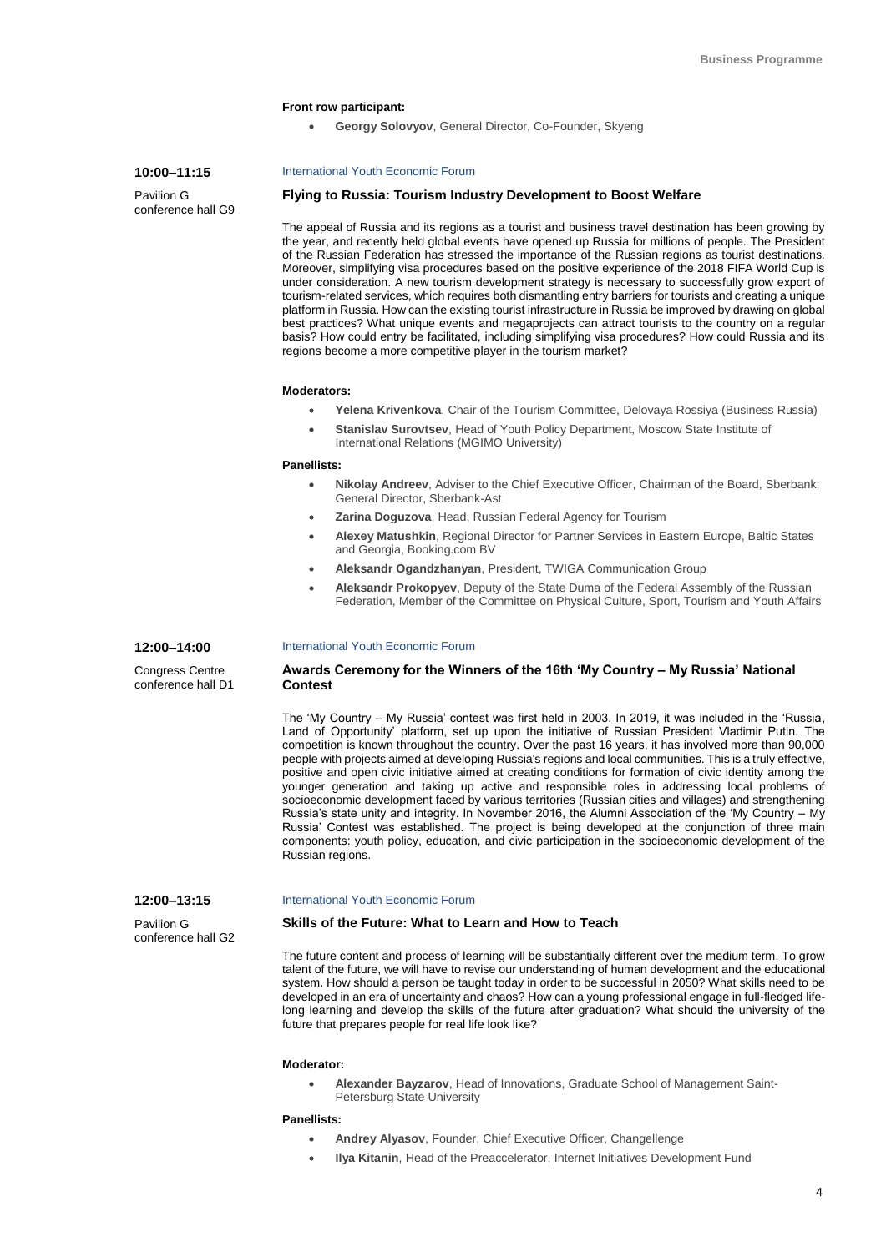## **Front row participant:**

**Georgy Solovyov**, General Director, Co-Founder, Skyeng

## **10:00–11:15**

Pavilion G conference hall G9

## International Youth Economic Forum

## **Flying to Russia: Tourism Industry Development to Boost Welfare**

The appeal of Russia and its regions as a tourist and business travel destination has been growing by the year, and recently held global events have opened up Russia for millions of people. The President of the Russian Federation has stressed the importance of the Russian regions as tourist destinations. Moreover, simplifying visa procedures based on the positive experience of the 2018 FIFA World Cup is under consideration. A new tourism development strategy is necessary to successfully grow export of tourism-related services, which requires both dismantling entry barriers for tourists and creating a unique platform in Russia. How can the existing tourist infrastructure in Russia be improved by drawing on global best practices? What unique events and megaprojects can attract tourists to the country on a regular basis? How could entry be facilitated, including simplifying visa procedures? How could Russia and its regions become a more competitive player in the tourism market?

#### **Moderators:**

- **Yelena Krivenkova**, Chair of the Tourism Committee, Delovaya Rossiya (Business Russia)
- **Stanislav Surovtsev**, Head of Youth Policy Department, Moscow State Institute of International Relations (MGIMO University)

## **Panellists:**

- **Nikolay Andreev**, Adviser to the Chief Executive Officer, Chairman of the Board, Sberbank; General Director, Sberbank-Ast
- **Zarina Doguzova**, Head, Russian Federal Agency for Tourism
- **Alexey Matushkin**, Regional Director for Partner Services in Eastern Europe, Baltic States and Georgia, Booking.com BV
- **Aleksandr Ogandzhanyan**, President, TWIGA Communication Group
- **Aleksandr Prokopyev**, Deputy of the State Duma of the Federal Assembly of the Russian Federation, Member of the Committee on Physical Culture, Sport, Tourism and Youth Affairs

#### **12:00–14:00** International Youth Economic Forum

Congress Centre conference hall D1

Pavilion G conference hall G2

## **Awards Ceremony for the Winners of the 16th 'My Country – My Russia' National Contest**

The 'My Country – My Russia' contest was first held in 2003. In 2019, it was included in the 'Russia, Land of Opportunity' platform, set up upon the initiative of Russian President Vladimir Putin. The competition is known throughout the country. Over the past 16 years, it has involved more than 90,000 people with projects aimed at developing Russia's regions and local communities. This is a truly effective, positive and open civic initiative aimed at creating conditions for formation of civic identity among the younger generation and taking up active and responsible roles in addressing local problems of socioeconomic development faced by various territories (Russian cities and villages) and strengthening Russia's state unity and integrity. In November 2016, the Alumni Association of the 'My Country – My Russia' Contest was established. The project is being developed at the conjunction of three main components: youth policy, education, and civic participation in the socioeconomic development of the Russian regions.

#### **12:00–13:15** International Youth Economic Forum

## **Skills of the Future: What to Learn and How to Teach**

The future content and process of learning will be substantially different over the medium term. To grow talent of the future, we will have to revise our understanding of human development and the educational system. How should a person be taught today in order to be successful in 2050? What skills need to be developed in an era of uncertainty and chaos? How can a young professional engage in full-fledged lifelong learning and develop the skills of the future after graduation? What should the university of the future that prepares people for real life look like?

## **Moderator:**

 **Alexander Bayzarov**, Head of Innovations, Graduate School of Management Saint-Petersburg State University

- **Andrey Alyasov**, Founder, Chief Executive Officer, Changellenge
- **Ilya Kitanin**, Head of the Preaccelerator, Internet Initiatives Development Fund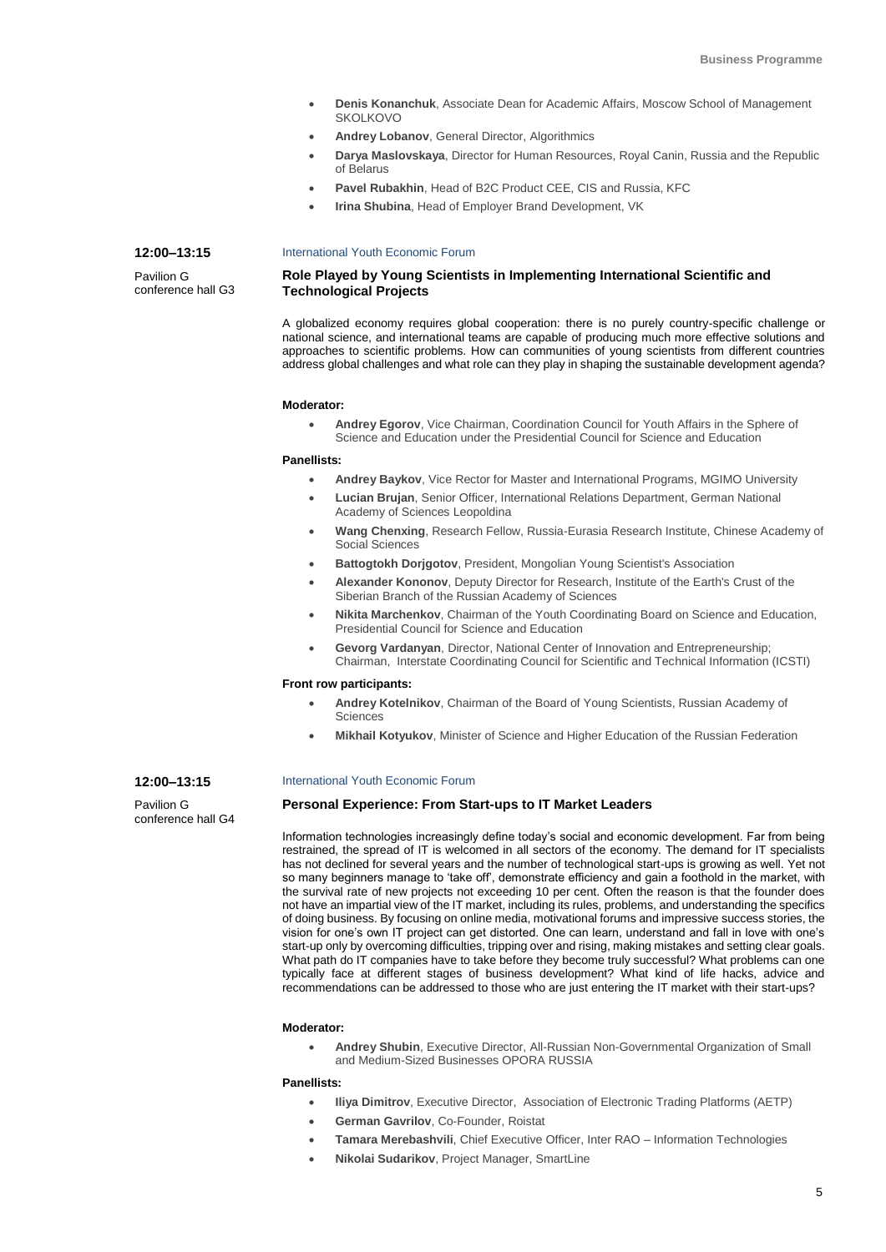- **Denis Konanchuk**, Associate Dean for Academic Affairs, Moscow School of Management **SKOLKOVO**
- **Andrey Lobanov**, General Director, Algorithmics
- **Darya Maslovskaya**, Director for Human Resources, Royal Canin, Russia and the Republic of Belarus
- **Pavel Rubakhin**, Head of B2C Product CEE, CIS and Russia, KFC
- **Irina Shubina**, Head of Employer Brand Development, VK

## International Youth Economic Forum

**Role Played by Young Scientists in Implementing International Scientific and Technological Projects**

A globalized economy requires global cooperation: there is no purely country-specific challenge or national science, and international teams are capable of producing much more effective solutions and approaches to scientific problems. How can communities of young scientists from different countries address global challenges and what role can they play in shaping the sustainable development agenda?

## **Moderator:**

 **Andrey Egorov**, Vice Chairman, Coordination Council for Youth Affairs in the Sphere of Science and Education under the Presidential Council for Science and Education

## **Panellists:**

- **Andrey Baykov**, Vice Rector for Master and International Programs, MGIMO University
- **Lucian Brujan**, Senior Officer, International Relations Department, German National Academy of Sciences Leopoldina
- **Wang Chenxing**, Research Fellow, Russia-Eurasia Research Institute, Chinese Academy of Social Sciences
- **Battogtokh Dorjgotov**, President, Mongolian Young Scientist's Association
- **Alexander Kononov**, Deputy Director for Research, Institute of the Earth's Crust of the Siberian Branch of the Russian Academy of Sciences
- **Nikita Marchenkov**, Chairman of the Youth Coordinating Board on Science and Education, Presidential Council for Science and Education
- **Gevorg Vardanyan**, Director, National Center of Innovation and Entrepreneurship; Chairman, Interstate Coordinating Council for Scientific and Technical Information (ICSTI)

## **Front row participants:**

- **Andrey Kotelnikov**, Chairman of the Board of Young Scientists, Russian Academy of **Sciences**
- **Mikhail Kotyukov**, Minister of Science and Higher Education of the Russian Federation

## **12:00–13:15**

**12:00–13:15** Pavilion G conference hall G3

Pavilion G conference hall G4

## International Youth Economic Forum

## **Personal Experience: From Start-ups to IT Market Leaders**

Information technologies increasingly define today's social and economic development. Far from being restrained, the spread of IT is welcomed in all sectors of the economy. The demand for IT specialists has not declined for several years and the number of technological start-ups is growing as well. Yet not so many beginners manage to 'take off', demonstrate efficiency and gain a foothold in the market, with the survival rate of new projects not exceeding 10 per cent. Often the reason is that the founder does not have an impartial view of the IT market, including its rules, problems, and understanding the specifics of doing business. By focusing on online media, motivational forums and impressive success stories, the vision for one's own IT project can get distorted. One can learn, understand and fall in love with one's start-up only by overcoming difficulties, tripping over and rising, making mistakes and setting clear goals. What path do IT companies have to take before they become truly successful? What problems can one typically face at different stages of business development? What kind of life hacks, advice and recommendations can be addressed to those who are just entering the IT market with their start-ups?

#### **Moderator:**

 **Andrey Shubin**, Executive Director, All-Russian Non-Governmental Organization of Small and Medium-Sized Businesses OPORA RUSSIA

- **Iliva Dimitrov**, Executive Director, Association of Electronic Trading Platforms (AETP)
- **German Gavrilov**, Co-Founder, Roistat
- **Tamara Merebashvili**, Chief Executive Officer, Inter RAO Information Technologies
- **Nikolai Sudarikov**, Project Manager, SmartLine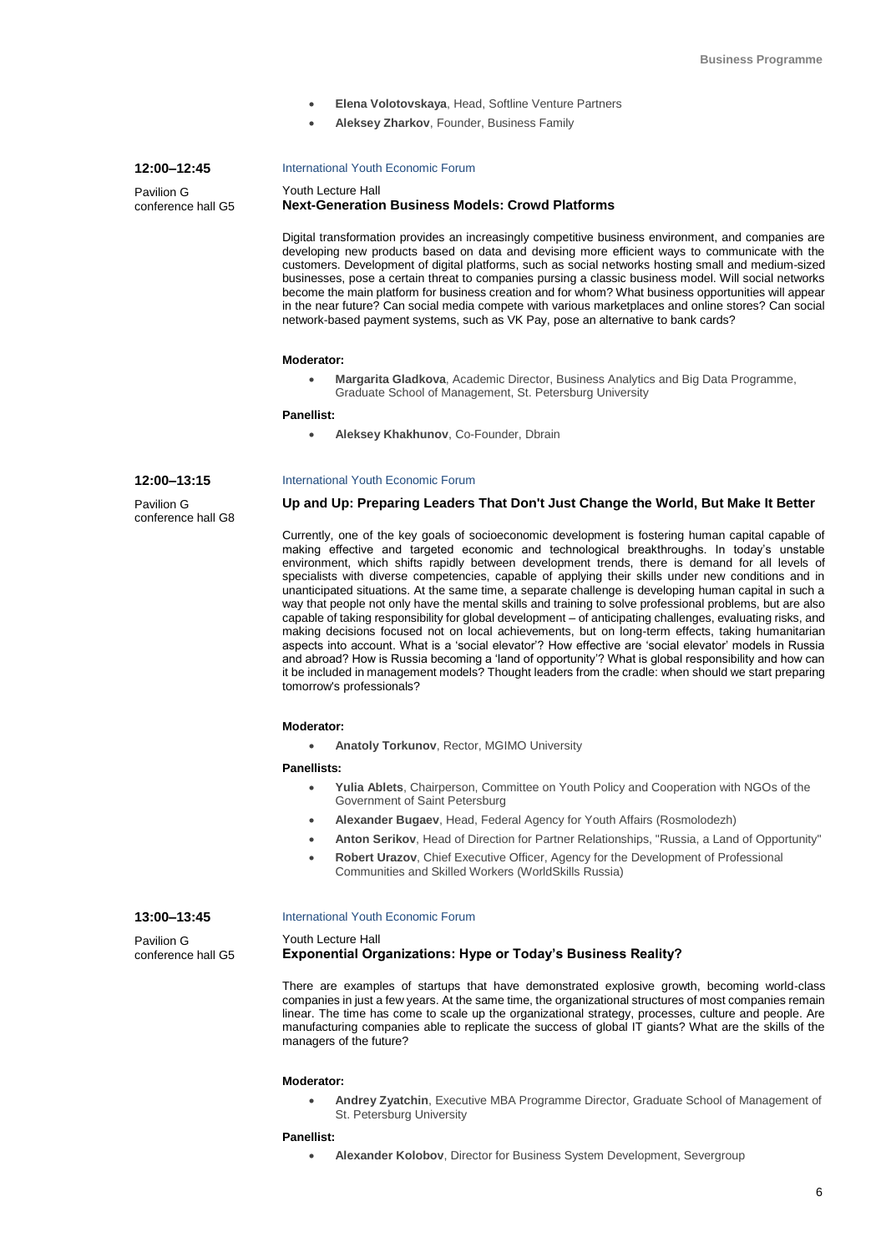- **Elena Volotovskaya**, Head, Softline Venture Partners
- **Aleksey Zharkov**, Founder, Business Family

## **12:00–12:45**

Pavilion G conference hall G5

## International Youth Economic Forum

#### Youth Lecture Hall **Next-Generation Business Models: Crowd Platforms**

Digital transformation provides an increasingly competitive business environment, and companies are developing new products based on data and devising more efficient ways to communicate with the customers. Development of digital platforms, such as social networks hosting small and medium-sized businesses, pose a certain threat to companies pursing a classic business model. Will social networks become the main platform for business creation and for whom? What business opportunities will appear in the near future? Can social media compete with various marketplaces and online stores? Can social network-based payment systems, such as VK Pay, pose an alternative to bank cards?

#### **Moderator:**

 **Margarita Gladkova**, Academic Director, Business Analytics and Big Data Programme, Graduate School of Management, St. Petersburg University

#### **Panellist:**

**Aleksey Khakhunov**, Co-Founder, Dbrain

International Youth Economic Forum

#### **12:00–13:15**

Pavilion G conference hall G8

## **Up and Up: Preparing Leaders That Don't Just Change the World, But Make It Better**

Currently, one of the key goals of socioeconomic development is fostering human capital capable of making effective and targeted economic and technological breakthroughs. In today's unstable environment, which shifts rapidly between development trends, there is demand for all levels of specialists with diverse competencies, capable of applying their skills under new conditions and in unanticipated situations. At the same time, a separate challenge is developing human capital in such a way that people not only have the mental skills and training to solve professional problems, but are also capable of taking responsibility for global development – of anticipating challenges, evaluating risks, and making decisions focused not on local achievements, but on long-term effects, taking humanitarian aspects into account. What is a 'social elevator'? How effective are 'social elevator' models in Russia and abroad? How is Russia becoming a 'land of opportunity'? What is global responsibility and how can it be included in management models? Thought leaders from the cradle: when should we start preparing tomorrow's professionals?

## **Moderator:**

**Anatoly Torkunov**, Rector, MGIMO University

## **Panellists:**

- **Yulia Ablets**, Chairperson, Committee on Youth Policy and Cooperation with NGOs of the Government of Saint Petersburg
- **Alexander Bugaev**, Head, Federal Agency for Youth Affairs (Rosmolodezh)
- **Anton Serikov**, Head of Direction for Partner Relationships, "Russia, a Land of Opportunity"
- **Robert Urazov**, Chief Executive Officer, Agency for the Development of Professional Communities and Skilled Workers (WorldSkills Russia)

## **13:00–13:45**

Pavilion G conference hall G5 International Youth Economic Forum

#### Youth Lecture Hall

## **Exponential Organizations: Hype or Today's Business Reality?**

There are examples of startups that have demonstrated explosive growth, becoming world-class companies in just a few years. At the same time, the organizational structures of most companies remain linear. The time has come to scale up the organizational strategy, processes, culture and people. Are manufacturing companies able to replicate the success of global IT giants? What are the skills of the managers of the future?

## **Moderator:**

 **Andrey Zyatchin**, Executive MBA Programme Director, Graduate School of Management of St. Petersburg University

### **Panellist:**

**Alexander Kolobov**, Director for Business System Development, Severgroup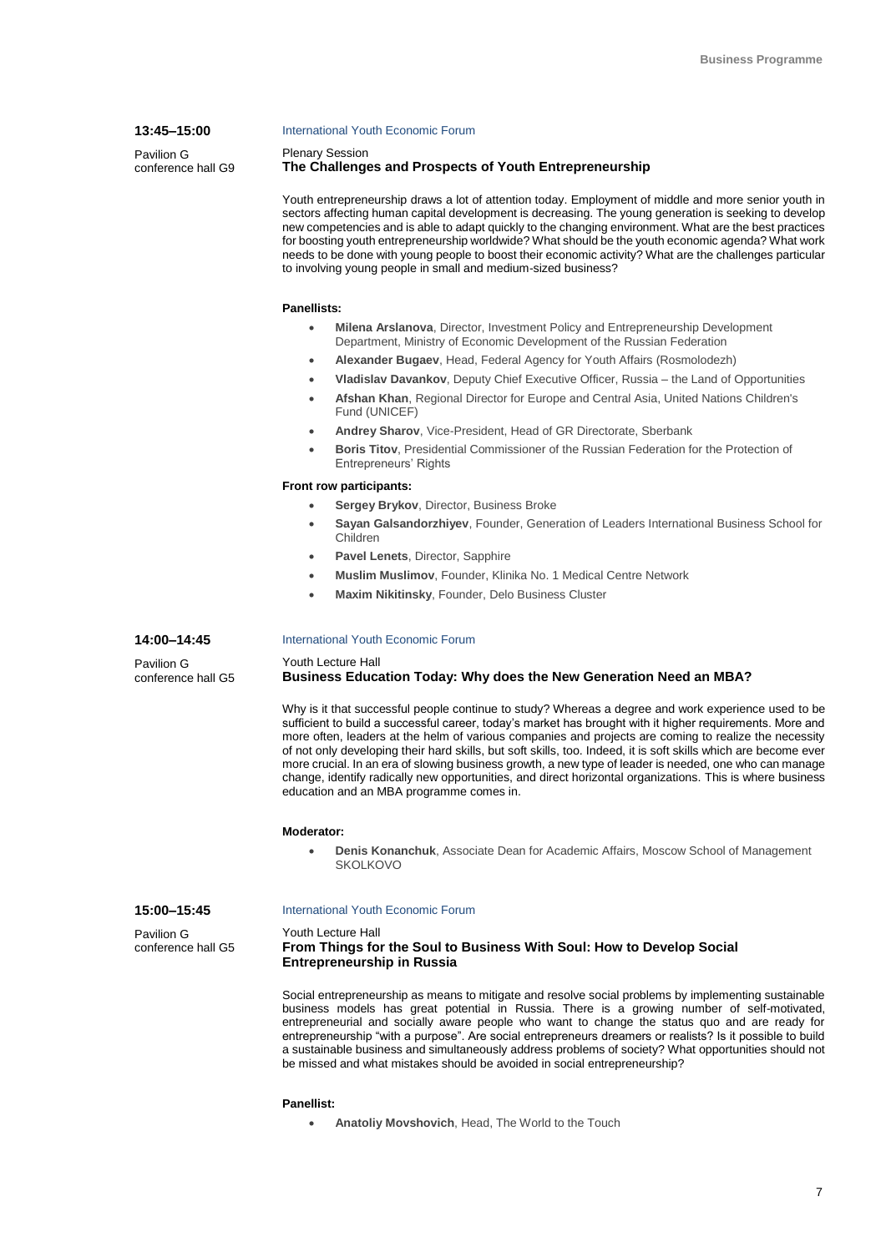## **13:45–15:00**

**14:00–14:45** Pavilion G conference hall G5

Pavilion G conference hall G9

#### International Youth Economic Forum

Plenary Session

## **The Challenges and Prospects of Youth Entrepreneurship**

Youth entrepreneurship draws a lot of attention today. Employment of middle and more senior youth in sectors affecting human capital development is decreasing. The young generation is seeking to develop new competencies and is able to adapt quickly to the changing environment. What are the best practices for boosting youth entrepreneurship worldwide? What should be the youth economic agenda? What work needs to be done with young people to boost their economic activity? What are the challenges particular to involving young people in small and medium-sized business?

## **Panellists:**

- **Milena Arslanova**, Director, Investment Policy and Entrepreneurship Development Department, Ministry of Economic Development of the Russian Federation
- **Alexander Bugaev**, Head, Federal Agency for Youth Affairs (Rosmolodezh)
- **Vladislav Davankov**, Deputy Chief Executive Officer, Russia the Land of Opportunities
- **Afshan Khan**, Regional Director for Europe and Central Asia, United Nations Children's Fund (UNICEF)
- **Andrey Sharov**, Vice-President, Head of GR Directorate, Sberbank
- **Boris Titov**, Presidential Commissioner of the Russian Federation for the Protection of Entrepreneurs' Rights

## **Front row participants:**

- **Sergey Brykov**, Director, Business Broke
- **Sayan Galsandorzhiyev**, Founder, Generation of Leaders International Business School for Children
- **Pavel Lenets**, Director, Sapphire
- **Muslim Muslimov**, Founder, Klinika No. 1 Medical Centre Network
- **Maxim Nikitinsky**, Founder, Delo Business Cluster

## International Youth Economic Forum

## Youth Lecture Hall **Business Education Today: Why does the New Generation Need an MBA?**

Why is it that successful people continue to study? Whereas a degree and work experience used to be sufficient to build a successful career, today's market has brought with it higher requirements. More and more often, leaders at the helm of various companies and projects are coming to realize the necessity of not only developing their hard skills, but soft skills, too. Indeed, it is soft skills which are become ever more crucial. In an era of slowing business growth, a new type of leader is needed, one who can manage change, identify radically new opportunities, and direct horizontal organizations. This is where business education and an MBA programme comes in.

## **Moderator:**

 **Denis Konanchuk**, Associate Dean for Academic Affairs, Moscow School of Management SKOLKOVO

#### **15:00–15:45** Pavilion G conference hall G5 International Youth Economic Forum Youth Lecture Hall **From Things for the Soul to Business With Soul: How to Develop Social Entrepreneurship in Russia**

Social entrepreneurship as means to mitigate and resolve social problems by implementing sustainable business models has great potential in Russia. There is a growing number of self-motivated, entrepreneurial and socially aware people who want to change the status quo and are ready for entrepreneurship "with a purpose". Are social entrepreneurs dreamers or realists? Is it possible to build a sustainable business and simultaneously address problems of society? What opportunities should not be missed and what mistakes should be avoided in social entrepreneurship?

## **Panellist:**

**Anatoliy Movshovich**, Head, The World to the Touch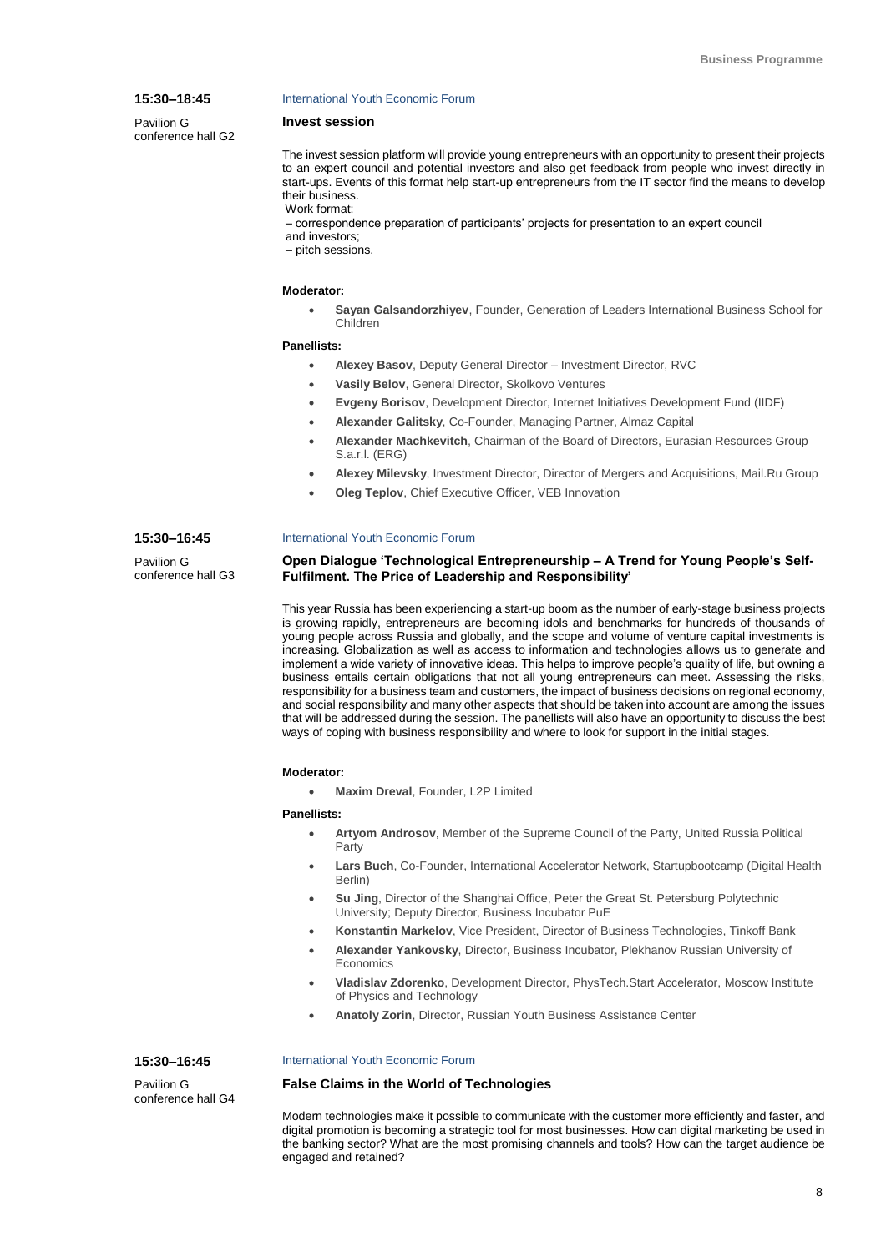## **15:30–18:45**

**15:30–16:45** Pavilion G conference hall G3

Pavilion G conference hall G2

#### International Youth Economic Forum

## **Invest session**

The invest session platform will provide young entrepreneurs with an opportunity to present their projects to an expert council and potential investors and also get feedback from people who invest directly in start-ups. Events of this format help start-up entrepreneurs from the IT sector find the means to develop their business. Work format:

– correspondence preparation of participants' projects for presentation to an expert council and investors;

– pitch sessions.

#### **Moderator:**

 **Sayan Galsandorzhiyev**, Founder, Generation of Leaders International Business School for Children

#### **Panellists:**

- **Alexey Basov**, Deputy General Director Investment Director, RVC
- **Vasily Belov**, General Director, Skolkovo Ventures
- **Evgeny Borisov**, Development Director, Internet Initiatives Development Fund (IIDF)
- **Alexander Galitsky**, Co-Founder, Managing Partner, Almaz Capital
- **Alexander Machkevitch**, Chairman of the Board of Directors, Eurasian Resources Group S.a.r.l. (ERG)
- **Alexey Milevsky**, Investment Director, Director of Mergers and Acquisitions, Mail.Ru Group
- **Oleg Teplov**, Chief Executive Officer, VEB Innovation

#### International Youth Economic Forum

## **Open Dialogue 'Technological Entrepreneurship – A Trend for Young People's Self-Fulfilment. The Price of Leadership and Responsibility'**

This year Russia has been experiencing a start-up boom as the number of early-stage business projects is growing rapidly, entrepreneurs are becoming idols and benchmarks for hundreds of thousands of young people across Russia and globally, and the scope and volume of venture capital investments is increasing. Globalization as well as access to information and technologies allows us to generate and implement a wide variety of innovative ideas. This helps to improve people's quality of life, but owning a business entails certain obligations that not all young entrepreneurs can meet. Assessing the risks, responsibility for a business team and customers, the impact of business decisions on regional economy, and social responsibility and many other aspects that should be taken into account are among the issues that will be addressed during the session. The panellists will also have an opportunity to discuss the best ways of coping with business responsibility and where to look for support in the initial stages.

## **Moderator:**

**Maxim Dreval**, Founder, L2P Limited

## **Panellists:**

- **Artyom Androsov**, Member of the Supreme Council of the Party, United Russia Political Party
- **Lars Buch**, Co-Founder, International Accelerator Network, Startupbootcamp (Digital Health Berlin)
- **Su Jing**, Director of the Shanghai Office, Peter the Great St. Petersburg Polytechnic University; Deputy Director, Business Incubator PuE
- **Konstantin Markelov**, Vice President, Director of Business Technologies, Tinkoff Bank
- **Alexander Yankovsky**, Director, Business Incubator, Plekhanov Russian University of **Economics**
- **Vladislav Zdorenko**, Development Director, PhysTech.Start Accelerator, Moscow Institute of Physics and Technology
- **Anatoly Zorin**, Director, Russian Youth Business Assistance Center

## **15:30–16:45**

Pavilion G conference hall G4

#### International Youth Economic Forum

## **False Claims in the World of Technologies**

Modern technologies make it possible to communicate with the customer more efficiently and faster, and digital promotion is becoming a strategic tool for most businesses. How can digital marketing be used in the banking sector? What are the most promising channels and tools? How can the target audience be engaged and retained?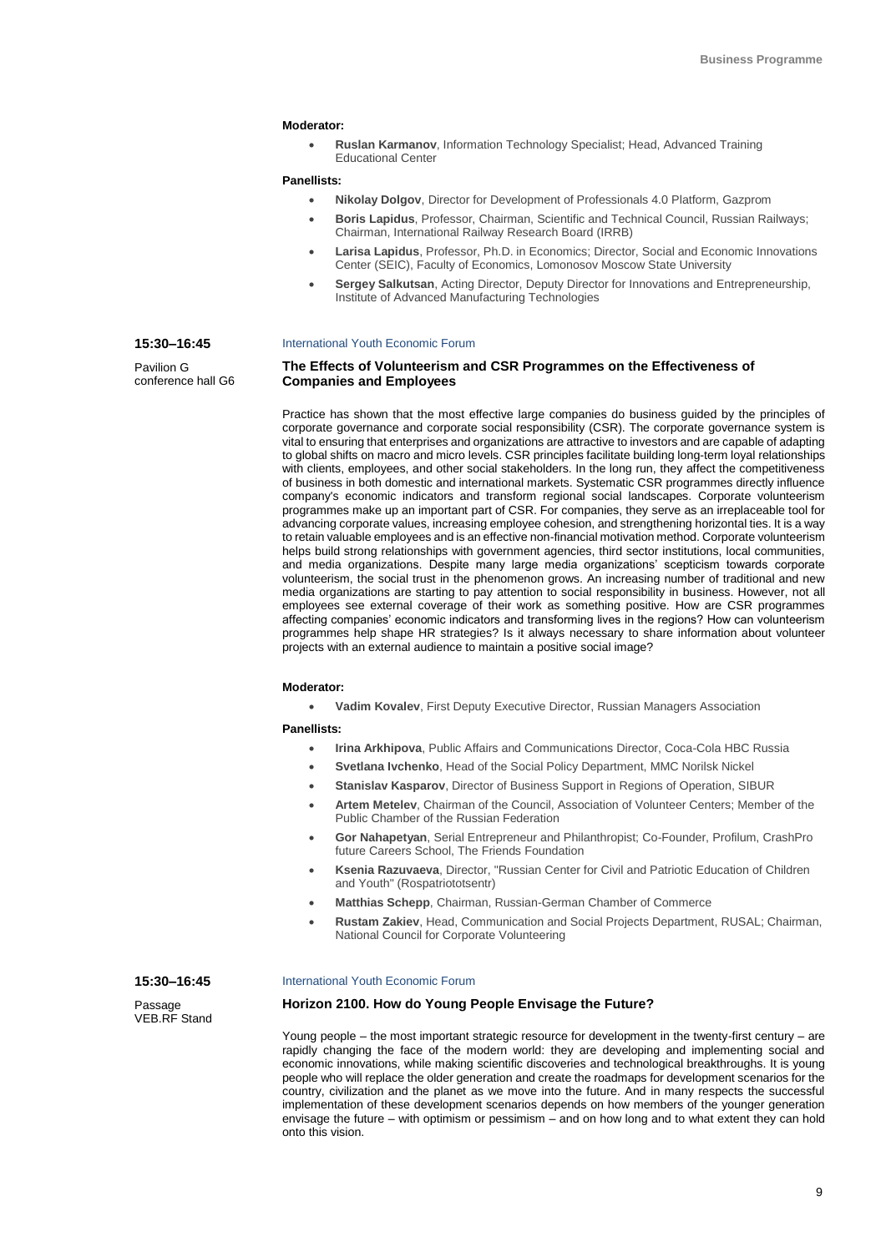## **Moderator:**

 **Ruslan Karmanov**, Information Technology Specialist; Head, Advanced Training Educational Center

#### **Panellists:**

- **Nikolay Dolgov**, Director for Development of Professionals 4.0 Platform, Gazprom
- **Boris Lapidus**, Professor, Chairman, Scientific and Technical Council, Russian Railways; Chairman, International Railway Research Board (IRRB)
- **Larisa Lapidus**, Professor, Ph.D. in Economics; Director, Social and Economic Innovations Center (SEIC), Faculty of Economics, Lomonosov Moscow State University
- **Sergey Salkutsan**, Acting Director, Deputy Director for Innovations and Entrepreneurship, Institute of Advanced Manufacturing Technologies

## International Youth Economic Forum

**The Effects of Volunteerism and CSR Programmes on the Effectiveness of Companies and Employees**

Practice has shown that the most effective large companies do business guided by the principles of corporate governance and corporate social responsibility (CSR). The corporate governance system is vital to ensuring that enterprises and organizations are attractive to investors and are capable of adapting to global shifts on macro and micro levels. CSR principles facilitate building long-term loyal relationships with clients, employees, and other social stakeholders. In the long run, they affect the competitiveness of business in both domestic and international markets. Systematic CSR programmes directly influence company's economic indicators and transform regional social landscapes. Corporate volunteerism programmes make up an important part of CSR. For companies, they serve as an irreplaceable tool for advancing corporate values, increasing employee cohesion, and strengthening horizontal ties. It is a way to retain valuable employees and is an effective non-financial motivation method. Corporate volunteerism helps build strong relationships with government agencies, third sector institutions, local communities, and media organizations. Despite many large media organizations' scepticism towards corporate volunteerism, the social trust in the phenomenon grows. An increasing number of traditional and new media organizations are starting to pay attention to social responsibility in business. However, not all employees see external coverage of their work as something positive. How are CSR programmes affecting companies' economic indicators and transforming lives in the regions? How can volunteerism programmes help shape HR strategies? Is it always necessary to share information about volunteer projects with an external audience to maintain a positive social image?

## **Moderator:**

**Vadim Kovalev**, First Deputy Executive Director, Russian Managers Association

**Panellists:**

- **Irina Arkhipova**, Public Affairs and Communications Director, Coca-Cola HBC Russia
- **Svetlana Ivchenko**, Head of the Social Policy Department, MMC Norilsk Nickel
- **Stanislav Kasparov**, Director of Business Support in Regions of Operation, SIBUR
- **Artem Metelev**, Chairman of the Council, Association of Volunteer Centers; Member of the Public Chamber of the Russian Federation
- **Gor Nahapetyan**, Serial Entrepreneur and Philanthropist; Co-Founder, Profilum, CrashPro future Careers School, The Friends Foundation
- **Ksenia Razuvaeva**, Director, "Russian Center for Civil and Patriotic Education of Children and Youth" (Rospatriototsentr)
- **Matthias Schepp**, Chairman, Russian-German Chamber of Commerce
- **Rustam Zakiev**, Head, Communication and Social Projects Department, RUSAL; Chairman, National Council for Corporate Volunteering

**15:30–16:45**

**15:30–16:45** Pavilion G conference hall G6

Passage VEB.RF Stand

#### International Youth Economic Forum

## **Horizon 2100. How do Young People Envisage the Future?**

Young people – the most important strategic resource for development in the twenty-first century – are rapidly changing the face of the modern world: they are developing and implementing social and economic innovations, while making scientific discoveries and technological breakthroughs. It is young people who will replace the older generation and create the roadmaps for development scenarios for the country, civilization and the planet as we move into the future. And in many respects the successful implementation of these development scenarios depends on how members of the younger generation envisage the future – with optimism or pessimism – and on how long and to what extent they can hold onto this vision.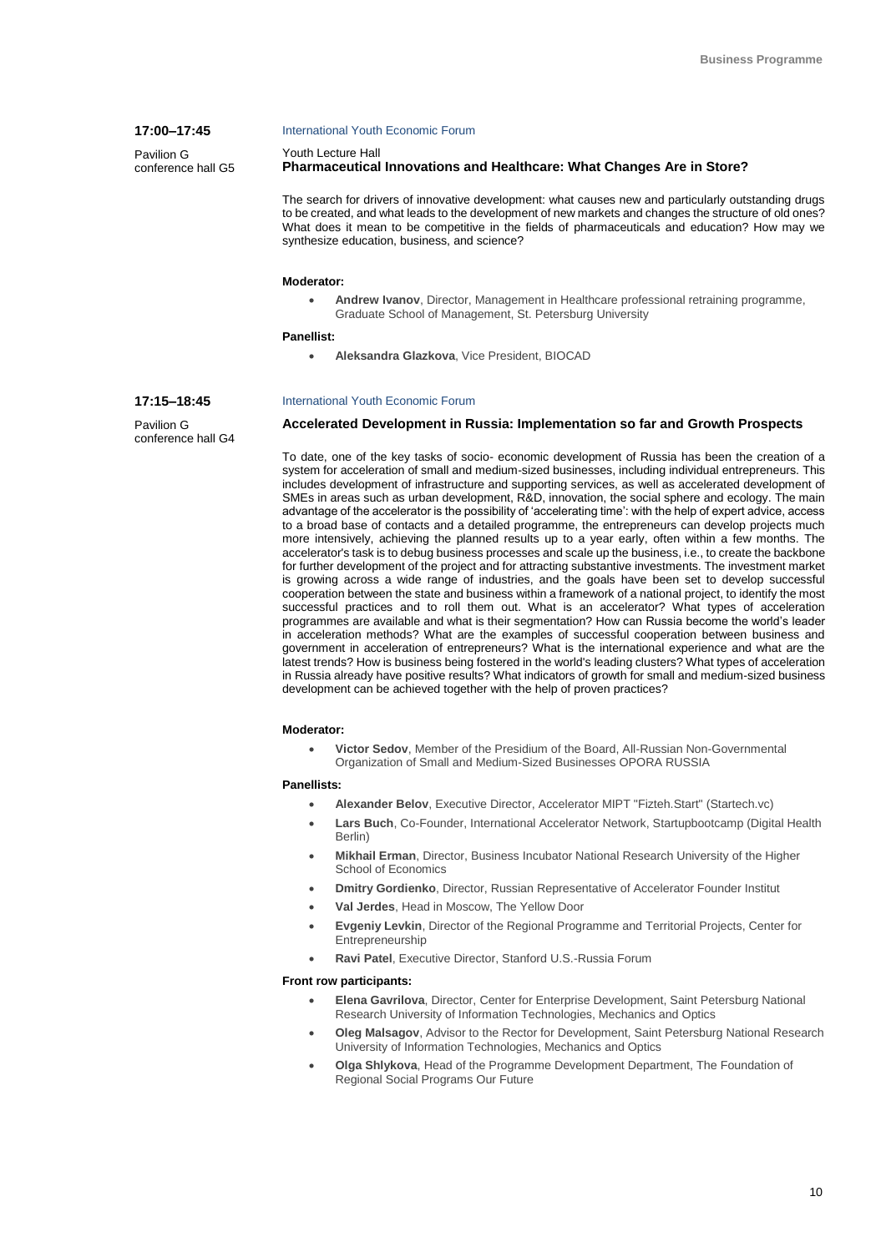## International Youth Economic Forum

Youth Lecture Hall

## **Pharmaceutical Innovations and Healthcare: What Changes Are in Store?**

The search for drivers of innovative development: what causes new and particularly outstanding drugs to be created, and what leads to the development of new markets and changes the structure of old ones? What does it mean to be competitive in the fields of pharmaceuticals and education? How may we synthesize education, business, and science?

#### **Moderator:**

 **Andrew Ivanov**, Director, Management in Healthcare professional retraining programme, Graduate School of Management, St. Petersburg University

#### **Panellist:**

**Aleksandra Glazkova**, Vice President, BIOCAD

## **17:15–18:45**

**17:00–17:45** Pavilion G conference hall G5

Pavilion G conference hall G4

## International Youth Economic Forum

## **Accelerated Development in Russia: Implementation so far and Growth Prospects**

To date, one of the key tasks of socio- economic development of Russia has been the creation of a system for acceleration of small and medium-sized businesses, including individual entrepreneurs. This includes development of infrastructure and supporting services, as well as accelerated development of SMEs in areas such as urban development, R&D, innovation, the social sphere and ecology. The main advantage of the accelerator is the possibility of 'accelerating time': with the help of expert advice, access to a broad base of contacts and a detailed programme, the entrepreneurs can develop projects much more intensively, achieving the planned results up to a year early, often within a few months. The accelerator's task is to debug business processes and scale up the business, i.e., to create the backbone for further development of the project and for attracting substantive investments. The investment market is growing across a wide range of industries, and the goals have been set to develop successful cooperation between the state and business within a framework of a national project, to identify the most successful practices and to roll them out. What is an accelerator? What types of acceleration programmes are available and what is their segmentation? How can Russia become the world's leader in acceleration methods? What are the examples of successful cooperation between business and government in acceleration of entrepreneurs? What is the international experience and what are the latest trends? How is business being fostered in the world's leading clusters? What types of acceleration in Russia already have positive results? What indicators of growth for small and medium-sized business development can be achieved together with the help of proven practices?

#### **Moderator:**

 **Victor Sedov**, Member of the Presidium of the Board, All-Russian Non-Governmental Organization of Small and Medium-Sized Businesses OPORA RUSSIA

#### **Panellists:**

- **Alexander Belov**, Executive Director, Accelerator MIPT "Fizteh.Start" (Startech.vc)
- **Lars Buch**, Co-Founder, International Accelerator Network, Startupbootcamp (Digital Health Berlin)
- **Mikhail Erman**, Director, Business Incubator National Research University of the Higher School of Economics
- **Dmitry Gordienko**, Director, Russian Representative of Accelerator Founder Institut
- **Val Jerdes**, Head in Moscow, The Yellow Door
- **Evgeniy Levkin**, Director of the Regional Programme and Territorial Projects, Center for **Entrepreneurship**
- **Ravi Patel**, Executive Director, Stanford U.S.-Russia Forum

#### **Front row participants:**

- **Elena Gavrilova**, Director, Center for Enterprise Development, Saint Petersburg National Research University of Information Technologies, Mechanics and Optics
- **Oleg Malsagov**, Advisor to the Rector for Development, Saint Petersburg National Research University of Information Technologies, Mechanics and Optics
- **Olga Shlykova**, Head of the Programme Development Department, The Foundation of Regional Social Programs Our Future